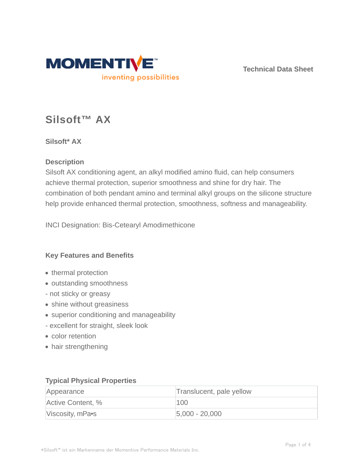

**Technical Data Sheet**

# **Silsoft™ AX**

# **Silsoft\* AX**

#### **Description**

Silsoft AX conditioning agent, an alkyl modified amino fluid, can help consumers achieve thermal protection, superior smoothness and shine for dry hair. The combination of both pendant amino and terminal alkyl groups on the silicone structure help provide enhanced thermal protection, smoothness, softness and manageability.

INCI Designation: Bis-Cetearyl Amodimethicone

# **Key Features and Benefits**

- thermal protection
- outstanding smoothness
- not sticky or greasy
- shine without greasiness
- superior conditioning and manageability
- excellent for straight, sleek look
- color retention
- hair strengthening

#### **Typical Physical Properties**

| Appearance        | Translucent, pale yellow |
|-------------------|--------------------------|
| Active Content, % | 100                      |
| Viscosity, mPa•s  | $ 5,000 - 20,000 $       |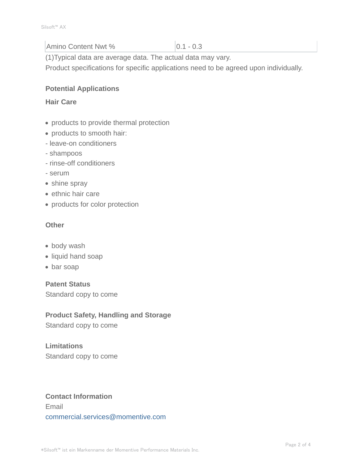# Amino Content Nwt % 0.1 - 0.3

(1)Typical data are average data. The actual data may vary.

Product specifications for specific applications need to be agreed upon individually.

### **Potential Applications**

#### **Hair Care**

- products to provide thermal protection
- products to smooth hair:
- leave-on conditioners
- shampoos
- rinse-off conditioners
- serum
- shine spray
- ethnic hair care
- products for color protection

#### **Other**

- body wash
- liquid hand soap
- bar soap

# **Patent Status**

Standard copy to come

# **Product Safety, Handling and Storage**

Standard copy to come

# **Limitations** Standard copy to come

# **Contact Information** Email commercial.services@momentive.com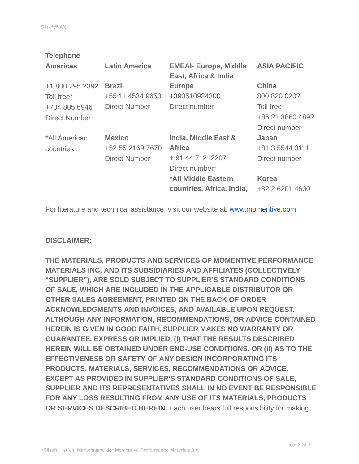| <b>Latin America</b> | <b>EMEAI- Europe, Middle</b><br>East, Africa & India | <b>ASIA PACIFIC</b> |
|----------------------|------------------------------------------------------|---------------------|
| <b>Brazil</b>        | <b>Europe</b>                                        | <b>China</b>        |
| +55 11 4534 9650     | +390510924300                                        | 800 820 0202        |
| <b>Direct Number</b> | Direct number                                        | Toll free           |
|                      |                                                      | +86 21 3860 4892    |
|                      |                                                      | Direct number       |
| <b>Mexico</b>        | India, Middle East &                                 | Japan               |
| +52 55 2169 7670     | <b>Africa</b>                                        | +81 3 5544 3111     |
| <b>Direct Number</b> | + 91 44 71212207                                     | Direct number       |
|                      | Direct number*                                       |                     |
|                      | *All Middle Eastern                                  | <b>Korea</b>        |
|                      | countries, Africa, India,                            | +82 2 6201 4600     |
|                      |                                                      |                     |

For literature and technical assistance, visit our website at: www.momentive.com

#### **DISCLAIMER:**

**THE MATERIALS, PRODUCTS AND SERVICES OF MOMENTIVE PERFORMANCE MATERIALS INC. AND ITS SUBSIDIARIES AND AFFILIATES (COLLECTIVELY "SUPPLIER"), ARE SOLD SUBJECT TO SUPPLIER'S STANDARD CONDITIONS OF SALE, WHICH ARE INCLUDED IN THE APPLICABLE DISTRIBUTOR OR OTHER SALES AGREEMENT, PRINTED ON THE BACK OF ORDER ACKNOWLEDGMENTS AND INVOICES, AND AVAILABLE UPON REQUEST. ALTHOUGH ANY INFORMATION, RECOMMENDATIONS, OR ADVICE CONTAINED HEREIN IS GIVEN IN GOOD FAITH, SUPPLIER MAKES NO WARRANTY OR GUARANTEE, EXPRESS OR IMPLIED, (i) THAT THE RESULTS DESCRIBED HEREIN WILL BE OBTAINED UNDER END-USE CONDITIONS, OR (ii) AS TO THE EFFECTIVENESS OR SAFETY OF ANY DESIGN INCORPORATING ITS PRODUCTS, MATERIALS, SERVICES, RECOMMENDATIONS OR ADVICE. EXCEPT AS PROVIDED IN SUPPLIER'S STANDARD CONDITIONS OF SALE, SUPPLIER AND ITS REPRESENTATIVES SHALL IN NO EVENT BE RESPONSIBLE FOR ANY LOSS RESULTING FROM ANY USE OF ITS MATERIALS, PRODUCTS OR SERVICES DESCRIBED HEREIN.** Each user bears full responsibility for making